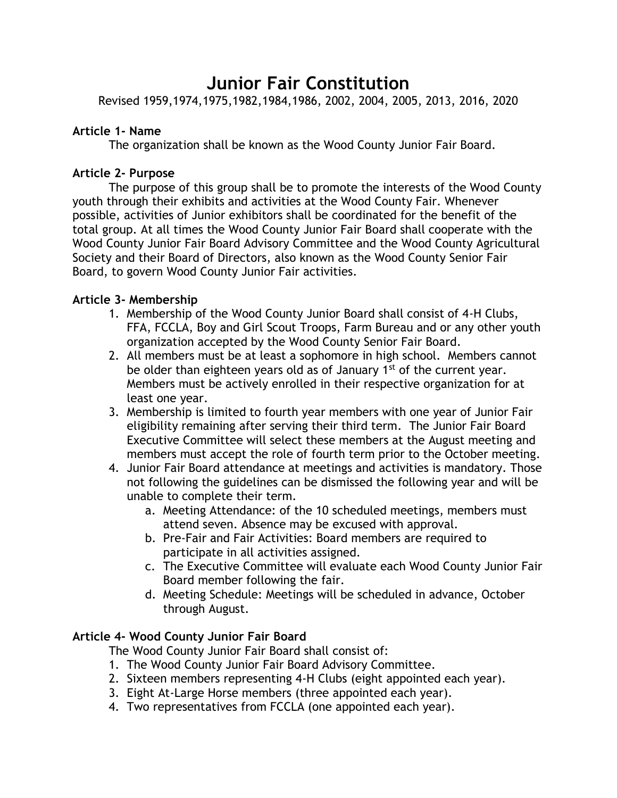# **Junior Fair Constitution**

Revised 1959,1974,1975,1982,1984,1986, 2002, 2004, 2005, 2013, 2016, 2020

### **Article 1- Name**

The organization shall be known as the Wood County Junior Fair Board.

## **Article 2- Purpose**

The purpose of this group shall be to promote the interests of the Wood County youth through their exhibits and activities at the Wood County Fair. Whenever possible, activities of Junior exhibitors shall be coordinated for the benefit of the total group. At all times the Wood County Junior Fair Board shall cooperate with the Wood County Junior Fair Board Advisory Committee and the Wood County Agricultural Society and their Board of Directors, also known as the Wood County Senior Fair Board, to govern Wood County Junior Fair activities.

# **Article 3- Membership**

- 1. Membership of the Wood County Junior Board shall consist of 4-H Clubs, FFA, FCCLA, Boy and Girl Scout Troops, Farm Bureau and or any other youth organization accepted by the Wood County Senior Fair Board.
- 2. All members must be at least a sophomore in high school. Members cannot be older than eighteen years old as of January  $1<sup>st</sup>$  of the current year. Members must be actively enrolled in their respective organization for at least one year.
- 3. Membership is limited to fourth year members with one year of Junior Fair eligibility remaining after serving their third term. The Junior Fair Board Executive Committee will select these members at the August meeting and members must accept the role of fourth term prior to the October meeting.
- 4. Junior Fair Board attendance at meetings and activities is mandatory. Those not following the guidelines can be dismissed the following year and will be unable to complete their term.
	- a. Meeting Attendance: of the 10 scheduled meetings, members must attend seven. Absence may be excused with approval.
	- b. Pre-Fair and Fair Activities: Board members are required to participate in all activities assigned.
	- c. The Executive Committee will evaluate each Wood County Junior Fair Board member following the fair.
	- d. Meeting Schedule: Meetings will be scheduled in advance, October through August.

# **Article 4- Wood County Junior Fair Board**

The Wood County Junior Fair Board shall consist of:

- 1. The Wood County Junior Fair Board Advisory Committee.
- 2. Sixteen members representing 4-H Clubs (eight appointed each year).
- 3. Eight At-Large Horse members (three appointed each year).
- 4. Two representatives from FCCLA (one appointed each year).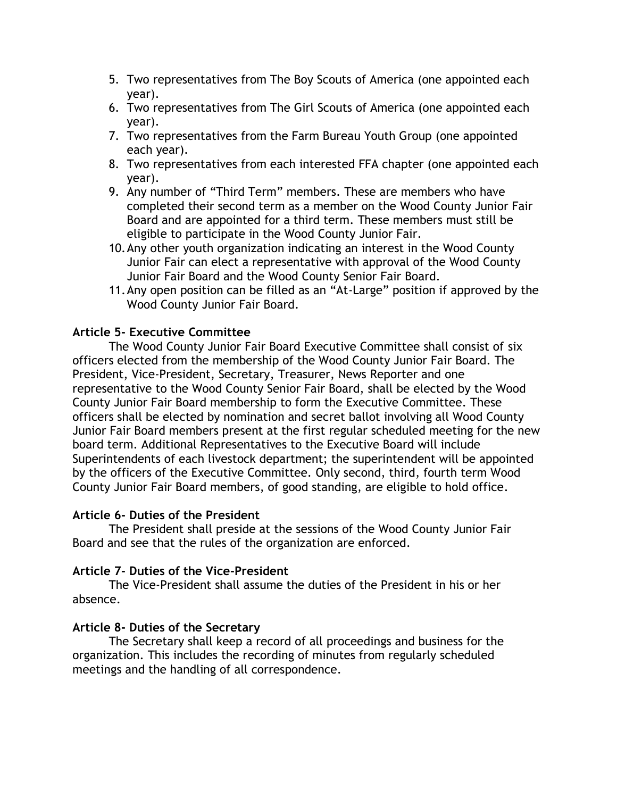- 5. Two representatives from The Boy Scouts of America (one appointed each year).
- 6. Two representatives from The Girl Scouts of America (one appointed each year).
- 7. Two representatives from the Farm Bureau Youth Group (one appointed each year).
- 8. Two representatives from each interested FFA chapter (one appointed each year).
- 9. Any number of "Third Term" members. These are members who have completed their second term as a member on the Wood County Junior Fair Board and are appointed for a third term. These members must still be eligible to participate in the Wood County Junior Fair.
- 10.Any other youth organization indicating an interest in the Wood County Junior Fair can elect a representative with approval of the Wood County Junior Fair Board and the Wood County Senior Fair Board.
- 11.Any open position can be filled as an "At-Large" position if approved by the Wood County Junior Fair Board.

# **Article 5- Executive Committee**

The Wood County Junior Fair Board Executive Committee shall consist of six officers elected from the membership of the Wood County Junior Fair Board. The President, Vice-President, Secretary, Treasurer, News Reporter and one representative to the Wood County Senior Fair Board, shall be elected by the Wood County Junior Fair Board membership to form the Executive Committee. These officers shall be elected by nomination and secret ballot involving all Wood County Junior Fair Board members present at the first regular scheduled meeting for the new board term. Additional Representatives to the Executive Board will include Superintendents of each livestock department; the superintendent will be appointed by the officers of the Executive Committee. Only second, third, fourth term Wood County Junior Fair Board members, of good standing, are eligible to hold office.

#### **Article 6- Duties of the President**

The President shall preside at the sessions of the Wood County Junior Fair Board and see that the rules of the organization are enforced.

# **Article 7- Duties of the Vice-President**

The Vice-President shall assume the duties of the President in his or her absence.

# **Article 8- Duties of the Secretary**

The Secretary shall keep a record of all proceedings and business for the organization. This includes the recording of minutes from regularly scheduled meetings and the handling of all correspondence.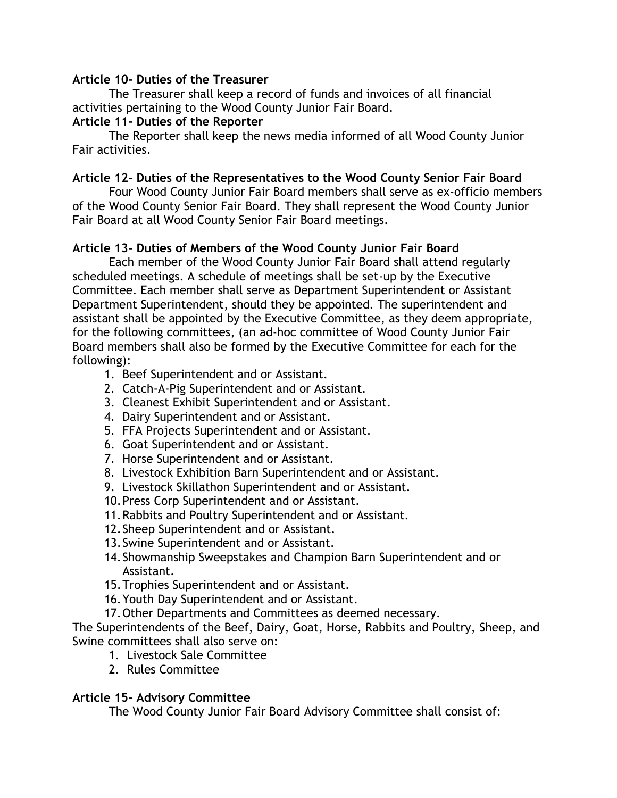#### **Article 10- Duties of the Treasurer**

The Treasurer shall keep a record of funds and invoices of all financial activities pertaining to the Wood County Junior Fair Board.

#### **Article 11- Duties of the Reporter**

The Reporter shall keep the news media informed of all Wood County Junior Fair activities.

#### **Article 12- Duties of the Representatives to the Wood County Senior Fair Board**

Four Wood County Junior Fair Board members shall serve as ex-officio members of the Wood County Senior Fair Board. They shall represent the Wood County Junior Fair Board at all Wood County Senior Fair Board meetings.

### **Article 13- Duties of Members of the Wood County Junior Fair Board**

Each member of the Wood County Junior Fair Board shall attend regularly scheduled meetings. A schedule of meetings shall be set-up by the Executive Committee. Each member shall serve as Department Superintendent or Assistant Department Superintendent, should they be appointed. The superintendent and assistant shall be appointed by the Executive Committee, as they deem appropriate, for the following committees, (an ad-hoc committee of Wood County Junior Fair Board members shall also be formed by the Executive Committee for each for the following):

- 1. Beef Superintendent and or Assistant.
- 2. Catch-A-Pig Superintendent and or Assistant.
- 3. Cleanest Exhibit Superintendent and or Assistant.
- 4. Dairy Superintendent and or Assistant.
- 5. FFA Projects Superintendent and or Assistant.
- 6. Goat Superintendent and or Assistant.
- 7. Horse Superintendent and or Assistant.
- 8. Livestock Exhibition Barn Superintendent and or Assistant.
- 9. Livestock Skillathon Superintendent and or Assistant.
- 10.Press Corp Superintendent and or Assistant.
- 11.Rabbits and Poultry Superintendent and or Assistant.
- 12.Sheep Superintendent and or Assistant.
- 13.Swine Superintendent and or Assistant.
- 14.Showmanship Sweepstakes and Champion Barn Superintendent and or Assistant.
- 15.Trophies Superintendent and or Assistant.
- 16.Youth Day Superintendent and or Assistant.
- 17.Other Departments and Committees as deemed necessary.

The Superintendents of the Beef, Dairy, Goat, Horse, Rabbits and Poultry, Sheep, and Swine committees shall also serve on:

- 1. Livestock Sale Committee
- 2. Rules Committee

#### **Article 15- Advisory Committee**

The Wood County Junior Fair Board Advisory Committee shall consist of: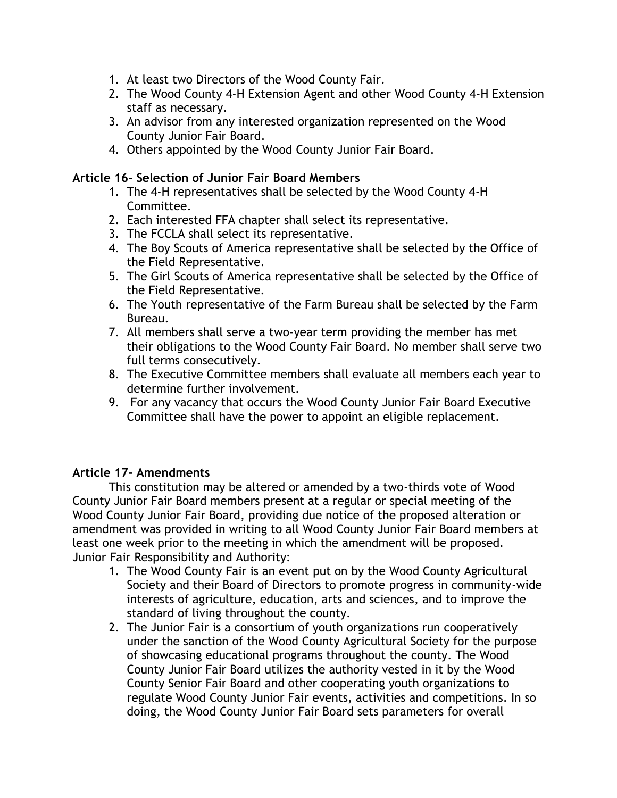- 1. At least two Directors of the Wood County Fair.
- 2. The Wood County 4-H Extension Agent and other Wood County 4-H Extension staff as necessary.
- 3. An advisor from any interested organization represented on the Wood County Junior Fair Board.
- 4. Others appointed by the Wood County Junior Fair Board.

#### **Article 16- Selection of Junior Fair Board Members**

- 1. The 4-H representatives shall be selected by the Wood County 4-H Committee.
- 2. Each interested FFA chapter shall select its representative.
- 3. The FCCLA shall select its representative.
- 4. The Boy Scouts of America representative shall be selected by the Office of the Field Representative.
- 5. The Girl Scouts of America representative shall be selected by the Office of the Field Representative.
- 6. The Youth representative of the Farm Bureau shall be selected by the Farm Bureau.
- 7. All members shall serve a two-year term providing the member has met their obligations to the Wood County Fair Board. No member shall serve two full terms consecutively.
- 8. The Executive Committee members shall evaluate all members each year to determine further involvement.
- 9. For any vacancy that occurs the Wood County Junior Fair Board Executive Committee shall have the power to appoint an eligible replacement.

# **Article 17- Amendments**

This constitution may be altered or amended by a two-thirds vote of Wood County Junior Fair Board members present at a regular or special meeting of the Wood County Junior Fair Board, providing due notice of the proposed alteration or amendment was provided in writing to all Wood County Junior Fair Board members at least one week prior to the meeting in which the amendment will be proposed. Junior Fair Responsibility and Authority:

- 1. The Wood County Fair is an event put on by the Wood County Agricultural Society and their Board of Directors to promote progress in community-wide interests of agriculture, education, arts and sciences, and to improve the standard of living throughout the county.
- 2. The Junior Fair is a consortium of youth organizations run cooperatively under the sanction of the Wood County Agricultural Society for the purpose of showcasing educational programs throughout the county. The Wood County Junior Fair Board utilizes the authority vested in it by the Wood County Senior Fair Board and other cooperating youth organizations to regulate Wood County Junior Fair events, activities and competitions. In so doing, the Wood County Junior Fair Board sets parameters for overall